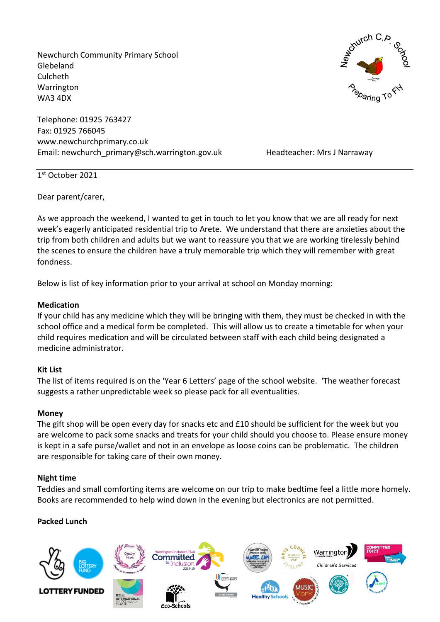Newchurch Community Primary School Glebeland Culcheth Warrington WA3 4DX

Telephone: 01925 763427 Fax: 01925 766045 www.newchurchprimary.co.uk Email: newchurch\_primary@sch.warrington.gov.uk Headteacher: Mrs J Narraway



1 st October 2021

Dear parent/carer,

As we approach the weekend, I wanted to get in touch to let you know that we are all ready for next week's eagerly anticipated residential trip to Arete. We understand that there are anxieties about the trip from both children and adults but we want to reassure you that we are working tirelessly behind the scenes to ensure the children have a truly memorable trip which they will remember with great fondness.

Below is list of key information prior to your arrival at school on Monday morning:

### **Medication**

If your child has any medicine which they will be bringing with them, they must be checked in with the school office and a medical form be completed. This will allow us to create a timetable for when your child requires medication and will be circulated between staff with each child being designated a medicine administrator.

# **Kit List**

The list of items required is on the 'Year 6 Letters' page of the school website. 'The weather forecast suggests a rather unpredictable week so please pack for all eventualities.

### **Money**

The gift shop will be open every day for snacks etc and £10 should be sufficient for the week but you are welcome to pack some snacks and treats for your child should you choose to. Please ensure money is kept in a safe purse/wallet and not in an envelope as loose coins can be problematic. The children are responsible for taking care of their own money.

# **Night time**

Teddies and small comforting items are welcome on our trip to make bedtime feel a little more homely. Books are recommended to help wind down in the evening but electronics are not permitted.

# **Packed Lunch**